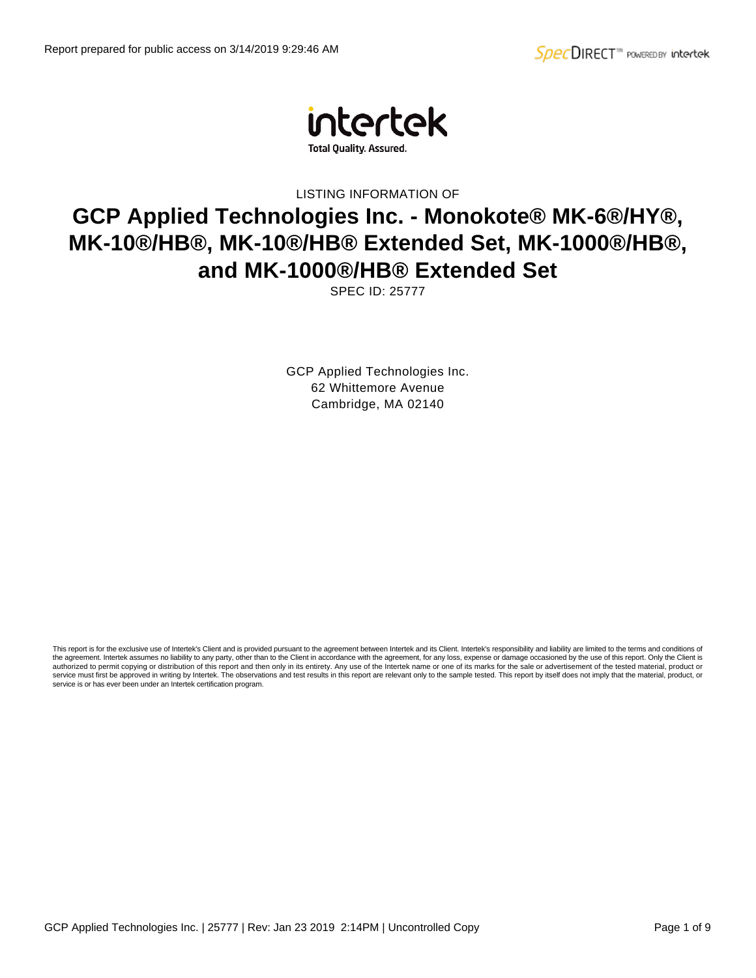

LISTING INFORMATION OF

# **GCP Applied Technologies Inc. - Monokote® MK-6®/HY®, MK-10®/HB®, MK-10®/HB® Extended Set, MK-1000®/HB®, and MK-1000®/HB® Extended Set**

SPEC ID: 25777

GCP Applied Technologies Inc. 62 Whittemore Avenue Cambridge, MA 02140

This report is for the exclusive use of Intertek's Client and is provided pursuant to the agreement between Intertek and its Client. Intertek's responsibility and liability are limited to the terms and conditions of the agreement. Intertek assumes no liability to any party, other than to the Client in accordance with the agreement, for any loss, expense or damage occasioned by the use of this report. Only the Client is authorized to permit copying or distribution of this report and then only in its entirety. Any use of the Intertek name or one of its marks for the sale or advertisement of the tested material, product or<br>service must firs service is or has ever been under an Intertek certification program.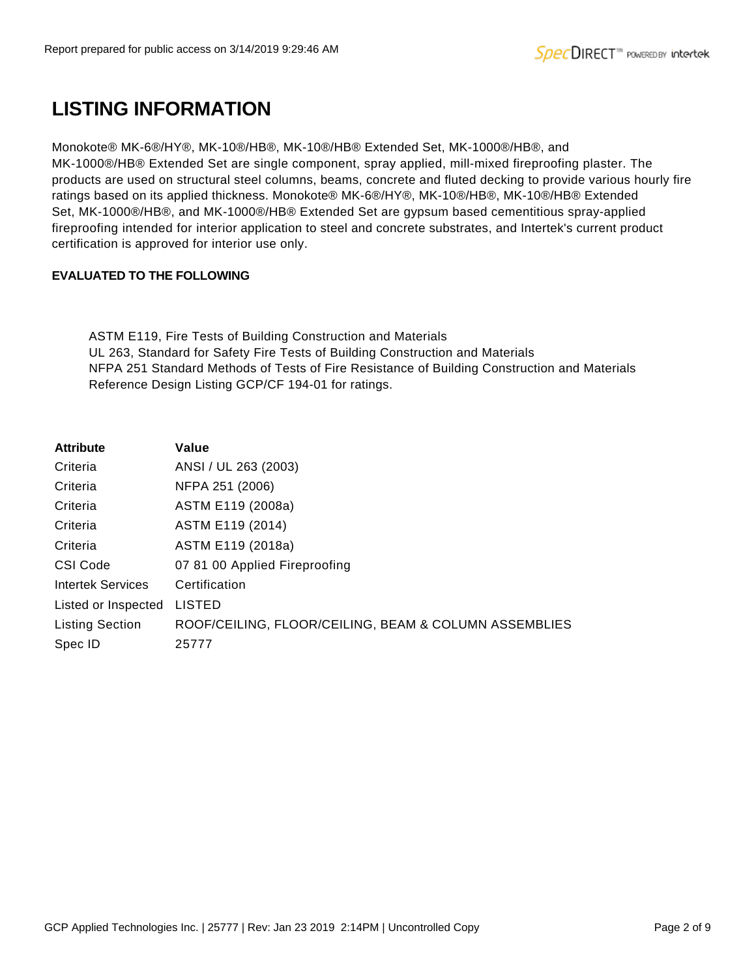# **LISTING INFORMATION**

Monokote® MK-6®/HY®, MK-10®/HB®, MK-10®/HB® Extended Set, MK-1000®/HB®, and MK-1000®/HB® Extended Set are single component, spray applied, mill-mixed fireproofing plaster. The products are used on structural steel columns, beams, concrete and fluted decking to provide various hourly fire ratings based on its applied thickness. Monokote® MK-6®/HY®, MK-10®/HB®, MK-10®/HB® Extended Set, MK-1000®/HB®, and MK-1000®/HB® Extended Set are gypsum based cementitious spray-applied fireproofing intended for interior application to steel and concrete substrates, and Intertek's current product certification is approved for interior use only.

## **EVALUATED TO THE FOLLOWING**

ASTM E119, Fire Tests of Building Construction and Materials UL 263, Standard for Safety Fire Tests of Building Construction and Materials NFPA 251 Standard Methods of Tests of Fire Resistance of Building Construction and Materials Reference Design Listing GCP/CF 194-01 for ratings.

| Value                                                 |
|-------------------------------------------------------|
| ANSI / UL 263 (2003)                                  |
| NFPA 251 (2006)                                       |
| ASTM E119 (2008a)                                     |
| ASTM E119 (2014)                                      |
| ASTM E119 (2018a)                                     |
| 07 81 00 Applied Fireproofing                         |
| Certification                                         |
| <b>LISTED</b>                                         |
| ROOF/CEILING, FLOOR/CEILING, BEAM & COLUMN ASSEMBLIES |
| 25777                                                 |
|                                                       |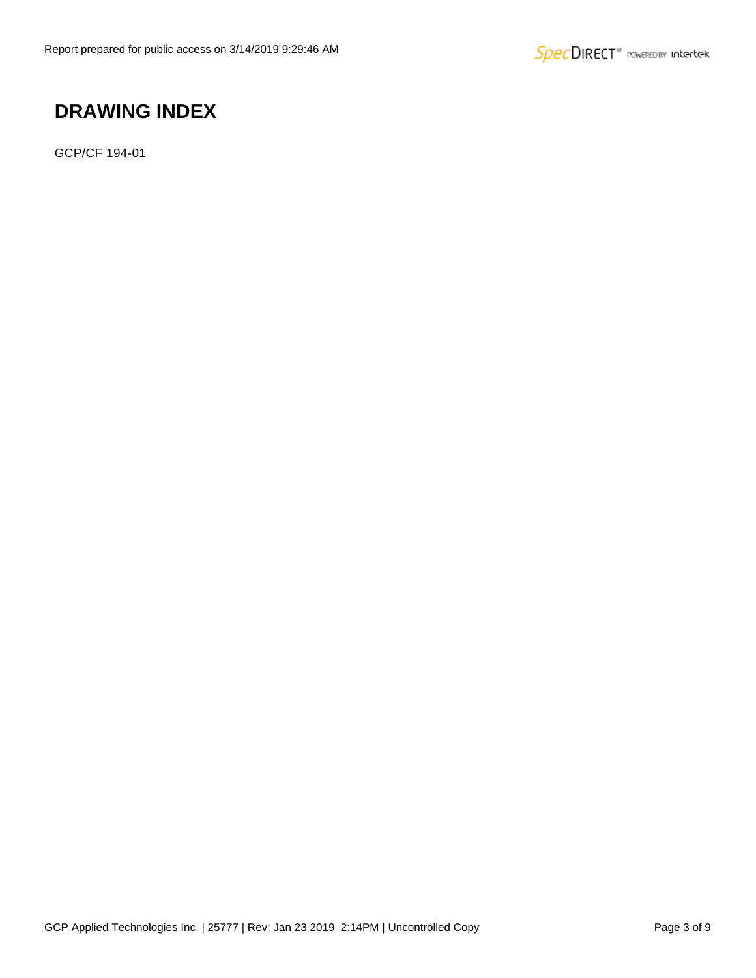# **DRAWING INDEX**

GCP/CF 194-01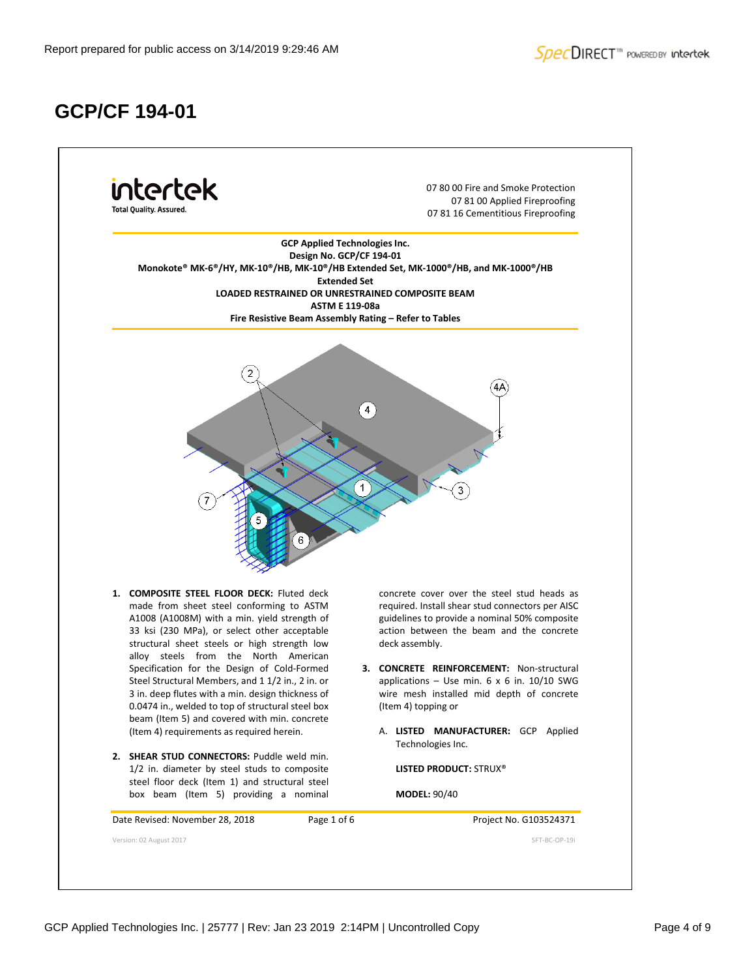# **GCP/CF 194-01**

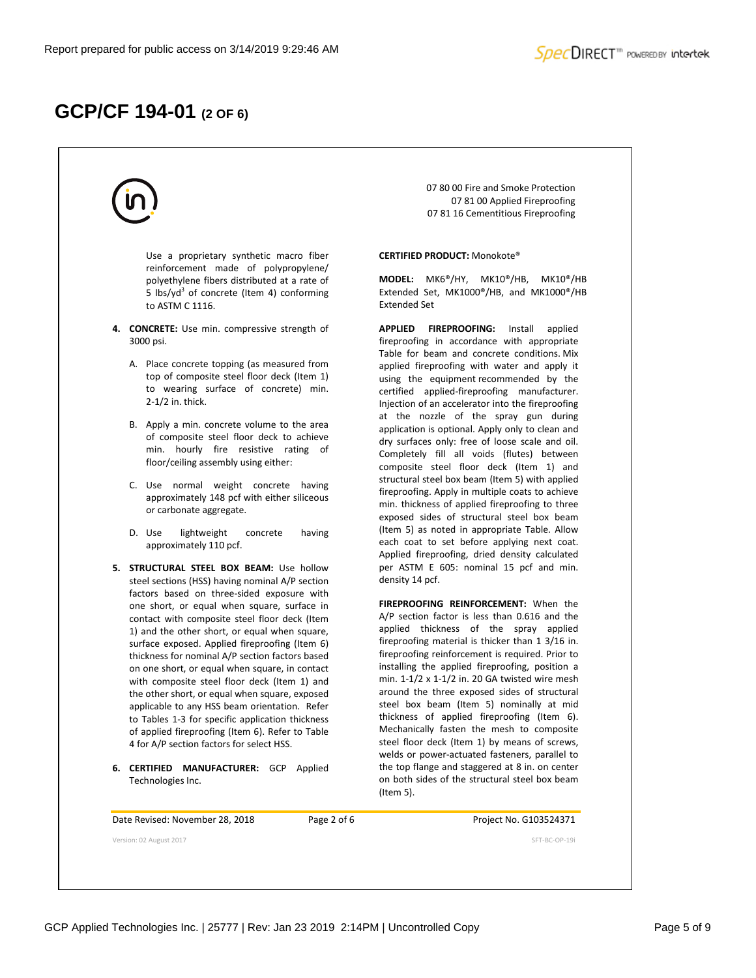## **GCP/CF 194-01 (2 OF 6)**

Use a proprietary synthetic macro fiber reinforcement made of polypropylene/ polyethylene fibers distributed at a rate of 5 lbs/yd<sup>3</sup> of concrete (Item 4) conforming to ASTM C 1116.

- **4. CONCRETE:** Use min. compressive strength of 3000 psi.
	- A. Place concrete topping (as measured from top of composite steel floor deck (Item 1) to wearing surface of concrete) min. 2-1/2 in. thick.
	- B. Apply a min. concrete volume to the area of composite steel floor deck to achieve min. hourly fire resistive rating of floor/ceiling assembly using either:
	- C. Use normal weight concrete having approximately 148 pcf with either siliceous or carbonate aggregate.
	- D. Use lightweight concrete having approximately 110 pcf.
- **5. STRUCTURAL STEEL BOX BEAM:** Use hollow steel sections (HSS) having nominal A/P section factors based on three-sided exposure with one short, or equal when square, surface in contact with composite steel floor deck (Item 1) and the other short, or equal when square, surface exposed. Applied fireproofing (Item 6) thickness for nominal A/P section factors based on one short, or equal when square, in contact with composite steel floor deck (Item 1) and the other short, or equal when square, exposed applicable to any HSS beam orientation. Refer to Tables 1-3 for specific application thickness of applied fireproofing (Item 6). Refer to Table 4 for A/P section factors for select HSS.
- **6. CERTIFIED MANUFACTURER:** GCP Applied Technologies Inc.

07 80 00 Fire and Smoke Protection 07 81 00 Applied Fireproofing 07 81 16 Cementitious Fireproofing

### **CERTIFIED PRODUCT:** Monokote®

**MODEL:** MK6®/HY, MK10®/HB, MK10®/HB Extended Set, MK1000®/HB, and MK1000®/HB Extended Set

**APPLIED FIREPROOFING:** Install applied fireproofing in accordance with appropriate Table for beam and concrete conditions. Mix applied fireproofing with water and apply it using the equipment recommended by the certified applied-fireproofing manufacturer. Injection of an accelerator into the fireproofing at the nozzle of the spray gun during application is optional. Apply only to clean and dry surfaces only: free of loose scale and oil. Completely fill all voids (flutes) between composite steel floor deck (Item 1) and structural steel box beam (Item 5) with applied fireproofing. Apply in multiple coats to achieve min. thickness of applied fireproofing to three exposed sides of structural steel box beam (Item 5) as noted in appropriate Table. Allow each coat to set before applying next coat. Applied fireproofing, dried density calculated per ASTM E 605: nominal 15 pcf and min. density 14 pcf.

**FIREPROOFING REINFORCEMENT:** When the A/P section factor is less than 0.616 and the applied thickness of the spray applied fireproofing material is thicker than 1 3/16 in. fireproofing reinforcement is required. Prior to installing the applied fireproofing, position a min. 1-1/2 x 1-1/2 in. 20 GA twisted wire mesh around the three exposed sides of structural steel box beam (Item 5) nominally at mid thickness of applied fireproofing (Item 6). Mechanically fasten the mesh to composite steel floor deck (Item 1) by means of screws, welds or power-actuated fasteners, parallel to the top flange and staggered at 8 in. on center on both sides of the structural steel box beam (Item 5).

Date Revised: November 28, 2018 Page 2 of 6 Project No. G103524371

Version: 02 August 2017 SFT-BC-OP-19i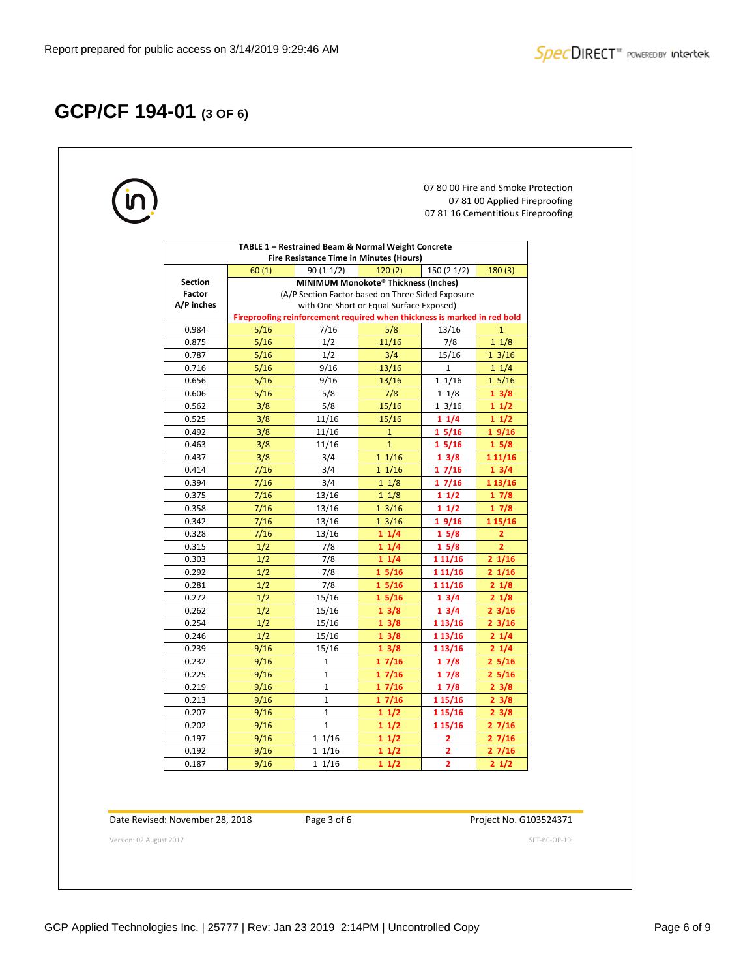# **GCP/CF 194-01 (3 OF 6)**

| TABLE 1 - Restrained Beam & Normal Weight Concrete<br><b>Fire Resistance Time in Minutes (Hours)</b><br>120(2)<br>150 (2 1/2)<br>180(3)<br>60(1)<br>$90(1-1/2)$<br>MINIMUM Monokote® Thickness (Inches)<br>(A/P Section Factor based on Three Sided Exposure<br>with One Short or Equal Surface Exposed)<br>Fireproofing reinforcement required when thickness is marked in red bold<br>5/16<br>7/16<br>5/8<br>13/16<br>$\mathbf{1}$<br>1/2<br>5/16<br>11/16<br>7/8<br>$1 \frac{1}{8}$<br>1/2<br>5/16<br>3/4<br>15/16<br>$1 \frac{3}{16}$<br>5/16<br>9/16<br>13/16<br>$\mathbf{1}$<br>$1 \frac{1}{4}$<br>5/16<br>9/16<br>13/16<br>11/16<br>$1\frac{5}{16}$<br>5/8<br>5/16<br>7/8<br>$1 \frac{1}{8}$<br>13/8<br>5/8<br>15/16<br>3/8<br>$1 \frac{3}{16}$<br>11/2<br>3/8<br>11/16<br>15/16<br>11/2<br>11/4<br>3/8<br>11/16<br>$\mathbf{1}$<br>15/16<br>19/16<br>3/8<br>$\mathbf{1}$<br>11/16<br>15/8<br>15/16<br>3/8<br>3/4<br>$1 \frac{1}{16}$<br>13/8<br>1 1 1 / 16<br>7/16<br>3/4<br>11/16<br>13/4<br>17/16<br>3/4<br>7/16<br>$1 \frac{1}{8}$<br>17/16<br>1 13/16<br>7/16<br>13/16<br>11/8<br>11/2<br>17/8<br>7/16<br>13/16<br>$1 \frac{3}{16}$<br>17/8<br>11/2 | 7/16<br>13/16<br>$1 \frac{3}{16}$<br>19/16<br>1 15/16 | <b>Section</b><br>Factor<br>A/P inches<br>0.984<br>0.875<br>0.787<br>0.716<br>0.656<br>0.606<br>0.562<br>0.525<br>0.492<br>0.463<br>0.437<br>0.414<br>0.394<br>0.375<br>0.358<br>0.342<br>0.328<br>7/16<br>13/16<br>11/4<br>15/8<br>$\mathbf{z}$<br>7/8<br>$\overline{2}$<br>0.315<br>1/2<br>11/4<br>15/8<br>0.303<br>1/2<br>7/8<br>1 1 1 / 16<br>21/16<br>11/4<br>1/2<br>7/8<br>0.292<br>15/16<br>1 1 1 / 16<br>21/16<br>1/2<br>7/8<br>0.281<br>15/16<br>1 1 1 / 16<br>21/8<br>0.272<br>1/2<br>15/16<br>15/16<br>13/4<br>21/8<br>0.262<br>1/2<br>15/16<br>13/8<br>13/4<br>$2 \frac{3}{16}$<br>0.254<br>1/2<br>15/16<br>23/16<br>13/8<br>1 13/16<br>21/4<br>0.246<br>1/2<br>15/16<br>13/8<br>1 13/16<br>0.239<br>9/16<br>15/16<br>1 13/16<br>21/4<br>13/8 | 0.232<br>9/16<br>$\mathbf{1}$<br>17/16<br>17/8<br>25/16 | $\mathbf{1}$ | 0.225<br>9/16<br>17/16<br>17/8<br>25/16 | 0.219<br>9/16<br>$\mathbf{1}$<br>17/16<br>17/8<br>23/8 | $\mathbf{1}$ | 0.213<br>9/16<br>17/16<br>1 15/16<br>23/8 | 9/16<br>0.207<br>1<br>11/2<br>1 15/16<br>23/8 |  | 9/16<br>11/2<br>0.202<br>$\mathbf{1}$<br>1 15/16<br>27/16 |  |  |  |  |  |  |  |  |  |  |  |
|-----------------------------------------------------------------------------------------------------------------------------------------------------------------------------------------------------------------------------------------------------------------------------------------------------------------------------------------------------------------------------------------------------------------------------------------------------------------------------------------------------------------------------------------------------------------------------------------------------------------------------------------------------------------------------------------------------------------------------------------------------------------------------------------------------------------------------------------------------------------------------------------------------------------------------------------------------------------------------------------------------------------------------------------------------------------------------------------------------------------------------------------------------------------|-------------------------------------------------------|-----------------------------------------------------------------------------------------------------------------------------------------------------------------------------------------------------------------------------------------------------------------------------------------------------------------------------------------------------------------------------------------------------------------------------------------------------------------------------------------------------------------------------------------------------------------------------------------------------------------------------------------------------------------------------------------------------------------------------------------------------------|---------------------------------------------------------|--------------|-----------------------------------------|--------------------------------------------------------|--------------|-------------------------------------------|-----------------------------------------------|--|-----------------------------------------------------------|--|--|--|--|--|--|--|--|--|--|--|
|                                                                                                                                                                                                                                                                                                                                                                                                                                                                                                                                                                                                                                                                                                                                                                                                                                                                                                                                                                                                                                                                                                                                                                 |                                                       |                                                                                                                                                                                                                                                                                                                                                                                                                                                                                                                                                                                                                                                                                                                                                           |                                                         |              |                                         |                                                        |              |                                           |                                               |  |                                                           |  |  |  |  |  |  |  |  |  |  |  |
|                                                                                                                                                                                                                                                                                                                                                                                                                                                                                                                                                                                                                                                                                                                                                                                                                                                                                                                                                                                                                                                                                                                                                                 |                                                       |                                                                                                                                                                                                                                                                                                                                                                                                                                                                                                                                                                                                                                                                                                                                                           |                                                         |              |                                         |                                                        |              |                                           |                                               |  |                                                           |  |  |  |  |  |  |  |  |  |  |  |
|                                                                                                                                                                                                                                                                                                                                                                                                                                                                                                                                                                                                                                                                                                                                                                                                                                                                                                                                                                                                                                                                                                                                                                 |                                                       |                                                                                                                                                                                                                                                                                                                                                                                                                                                                                                                                                                                                                                                                                                                                                           |                                                         |              |                                         |                                                        |              |                                           |                                               |  |                                                           |  |  |  |  |  |  |  |  |  |  |  |
|                                                                                                                                                                                                                                                                                                                                                                                                                                                                                                                                                                                                                                                                                                                                                                                                                                                                                                                                                                                                                                                                                                                                                                 |                                                       |                                                                                                                                                                                                                                                                                                                                                                                                                                                                                                                                                                                                                                                                                                                                                           |                                                         |              |                                         |                                                        |              |                                           |                                               |  |                                                           |  |  |  |  |  |  |  |  |  |  |  |
|                                                                                                                                                                                                                                                                                                                                                                                                                                                                                                                                                                                                                                                                                                                                                                                                                                                                                                                                                                                                                                                                                                                                                                 |                                                       |                                                                                                                                                                                                                                                                                                                                                                                                                                                                                                                                                                                                                                                                                                                                                           |                                                         |              |                                         |                                                        |              |                                           |                                               |  |                                                           |  |  |  |  |  |  |  |  |  |  |  |
|                                                                                                                                                                                                                                                                                                                                                                                                                                                                                                                                                                                                                                                                                                                                                                                                                                                                                                                                                                                                                                                                                                                                                                 |                                                       |                                                                                                                                                                                                                                                                                                                                                                                                                                                                                                                                                                                                                                                                                                                                                           |                                                         |              |                                         |                                                        |              |                                           |                                               |  |                                                           |  |  |  |  |  |  |  |  |  |  |  |
|                                                                                                                                                                                                                                                                                                                                                                                                                                                                                                                                                                                                                                                                                                                                                                                                                                                                                                                                                                                                                                                                                                                                                                 |                                                       |                                                                                                                                                                                                                                                                                                                                                                                                                                                                                                                                                                                                                                                                                                                                                           |                                                         |              |                                         |                                                        |              |                                           |                                               |  |                                                           |  |  |  |  |  |  |  |  |  |  |  |
|                                                                                                                                                                                                                                                                                                                                                                                                                                                                                                                                                                                                                                                                                                                                                                                                                                                                                                                                                                                                                                                                                                                                                                 |                                                       |                                                                                                                                                                                                                                                                                                                                                                                                                                                                                                                                                                                                                                                                                                                                                           |                                                         |              |                                         |                                                        |              |                                           |                                               |  |                                                           |  |  |  |  |  |  |  |  |  |  |  |
|                                                                                                                                                                                                                                                                                                                                                                                                                                                                                                                                                                                                                                                                                                                                                                                                                                                                                                                                                                                                                                                                                                                                                                 |                                                       |                                                                                                                                                                                                                                                                                                                                                                                                                                                                                                                                                                                                                                                                                                                                                           |                                                         |              |                                         |                                                        |              |                                           |                                               |  |                                                           |  |  |  |  |  |  |  |  |  |  |  |
|                                                                                                                                                                                                                                                                                                                                                                                                                                                                                                                                                                                                                                                                                                                                                                                                                                                                                                                                                                                                                                                                                                                                                                 |                                                       |                                                                                                                                                                                                                                                                                                                                                                                                                                                                                                                                                                                                                                                                                                                                                           |                                                         |              |                                         |                                                        |              |                                           |                                               |  |                                                           |  |  |  |  |  |  |  |  |  |  |  |
|                                                                                                                                                                                                                                                                                                                                                                                                                                                                                                                                                                                                                                                                                                                                                                                                                                                                                                                                                                                                                                                                                                                                                                 |                                                       |                                                                                                                                                                                                                                                                                                                                                                                                                                                                                                                                                                                                                                                                                                                                                           |                                                         |              |                                         |                                                        |              |                                           |                                               |  |                                                           |  |  |  |  |  |  |  |  |  |  |  |
|                                                                                                                                                                                                                                                                                                                                                                                                                                                                                                                                                                                                                                                                                                                                                                                                                                                                                                                                                                                                                                                                                                                                                                 |                                                       |                                                                                                                                                                                                                                                                                                                                                                                                                                                                                                                                                                                                                                                                                                                                                           |                                                         |              |                                         |                                                        |              |                                           |                                               |  |                                                           |  |  |  |  |  |  |  |  |  |  |  |
|                                                                                                                                                                                                                                                                                                                                                                                                                                                                                                                                                                                                                                                                                                                                                                                                                                                                                                                                                                                                                                                                                                                                                                 |                                                       |                                                                                                                                                                                                                                                                                                                                                                                                                                                                                                                                                                                                                                                                                                                                                           |                                                         |              |                                         |                                                        |              |                                           |                                               |  |                                                           |  |  |  |  |  |  |  |  |  |  |  |
|                                                                                                                                                                                                                                                                                                                                                                                                                                                                                                                                                                                                                                                                                                                                                                                                                                                                                                                                                                                                                                                                                                                                                                 |                                                       |                                                                                                                                                                                                                                                                                                                                                                                                                                                                                                                                                                                                                                                                                                                                                           |                                                         |              |                                         |                                                        |              |                                           |                                               |  |                                                           |  |  |  |  |  |  |  |  |  |  |  |
|                                                                                                                                                                                                                                                                                                                                                                                                                                                                                                                                                                                                                                                                                                                                                                                                                                                                                                                                                                                                                                                                                                                                                                 |                                                       |                                                                                                                                                                                                                                                                                                                                                                                                                                                                                                                                                                                                                                                                                                                                                           |                                                         |              |                                         |                                                        |              |                                           |                                               |  |                                                           |  |  |  |  |  |  |  |  |  |  |  |
|                                                                                                                                                                                                                                                                                                                                                                                                                                                                                                                                                                                                                                                                                                                                                                                                                                                                                                                                                                                                                                                                                                                                                                 |                                                       |                                                                                                                                                                                                                                                                                                                                                                                                                                                                                                                                                                                                                                                                                                                                                           |                                                         |              |                                         |                                                        |              |                                           |                                               |  |                                                           |  |  |  |  |  |  |  |  |  |  |  |
|                                                                                                                                                                                                                                                                                                                                                                                                                                                                                                                                                                                                                                                                                                                                                                                                                                                                                                                                                                                                                                                                                                                                                                 |                                                       |                                                                                                                                                                                                                                                                                                                                                                                                                                                                                                                                                                                                                                                                                                                                                           |                                                         |              |                                         |                                                        |              |                                           |                                               |  |                                                           |  |  |  |  |  |  |  |  |  |  |  |
|                                                                                                                                                                                                                                                                                                                                                                                                                                                                                                                                                                                                                                                                                                                                                                                                                                                                                                                                                                                                                                                                                                                                                                 |                                                       |                                                                                                                                                                                                                                                                                                                                                                                                                                                                                                                                                                                                                                                                                                                                                           |                                                         |              |                                         |                                                        |              |                                           |                                               |  |                                                           |  |  |  |  |  |  |  |  |  |  |  |
|                                                                                                                                                                                                                                                                                                                                                                                                                                                                                                                                                                                                                                                                                                                                                                                                                                                                                                                                                                                                                                                                                                                                                                 |                                                       |                                                                                                                                                                                                                                                                                                                                                                                                                                                                                                                                                                                                                                                                                                                                                           |                                                         |              |                                         |                                                        |              |                                           |                                               |  |                                                           |  |  |  |  |  |  |  |  |  |  |  |
|                                                                                                                                                                                                                                                                                                                                                                                                                                                                                                                                                                                                                                                                                                                                                                                                                                                                                                                                                                                                                                                                                                                                                                 |                                                       |                                                                                                                                                                                                                                                                                                                                                                                                                                                                                                                                                                                                                                                                                                                                                           |                                                         |              |                                         |                                                        |              |                                           |                                               |  |                                                           |  |  |  |  |  |  |  |  |  |  |  |
|                                                                                                                                                                                                                                                                                                                                                                                                                                                                                                                                                                                                                                                                                                                                                                                                                                                                                                                                                                                                                                                                                                                                                                 |                                                       |                                                                                                                                                                                                                                                                                                                                                                                                                                                                                                                                                                                                                                                                                                                                                           |                                                         |              |                                         |                                                        |              |                                           |                                               |  |                                                           |  |  |  |  |  |  |  |  |  |  |  |
|                                                                                                                                                                                                                                                                                                                                                                                                                                                                                                                                                                                                                                                                                                                                                                                                                                                                                                                                                                                                                                                                                                                                                                 |                                                       |                                                                                                                                                                                                                                                                                                                                                                                                                                                                                                                                                                                                                                                                                                                                                           |                                                         |              |                                         |                                                        |              |                                           |                                               |  |                                                           |  |  |  |  |  |  |  |  |  |  |  |
|                                                                                                                                                                                                                                                                                                                                                                                                                                                                                                                                                                                                                                                                                                                                                                                                                                                                                                                                                                                                                                                                                                                                                                 |                                                       |                                                                                                                                                                                                                                                                                                                                                                                                                                                                                                                                                                                                                                                                                                                                                           |                                                         |              |                                         |                                                        |              |                                           |                                               |  |                                                           |  |  |  |  |  |  |  |  |  |  |  |
|                                                                                                                                                                                                                                                                                                                                                                                                                                                                                                                                                                                                                                                                                                                                                                                                                                                                                                                                                                                                                                                                                                                                                                 |                                                       |                                                                                                                                                                                                                                                                                                                                                                                                                                                                                                                                                                                                                                                                                                                                                           |                                                         |              |                                         |                                                        |              |                                           |                                               |  |                                                           |  |  |  |  |  |  |  |  |  |  |  |
|                                                                                                                                                                                                                                                                                                                                                                                                                                                                                                                                                                                                                                                                                                                                                                                                                                                                                                                                                                                                                                                                                                                                                                 |                                                       |                                                                                                                                                                                                                                                                                                                                                                                                                                                                                                                                                                                                                                                                                                                                                           |                                                         |              |                                         |                                                        |              |                                           |                                               |  |                                                           |  |  |  |  |  |  |  |  |  |  |  |
|                                                                                                                                                                                                                                                                                                                                                                                                                                                                                                                                                                                                                                                                                                                                                                                                                                                                                                                                                                                                                                                                                                                                                                 |                                                       |                                                                                                                                                                                                                                                                                                                                                                                                                                                                                                                                                                                                                                                                                                                                                           |                                                         |              |                                         |                                                        |              |                                           |                                               |  |                                                           |  |  |  |  |  |  |  |  |  |  |  |
|                                                                                                                                                                                                                                                                                                                                                                                                                                                                                                                                                                                                                                                                                                                                                                                                                                                                                                                                                                                                                                                                                                                                                                 |                                                       |                                                                                                                                                                                                                                                                                                                                                                                                                                                                                                                                                                                                                                                                                                                                                           |                                                         |              |                                         |                                                        |              |                                           |                                               |  |                                                           |  |  |  |  |  |  |  |  |  |  |  |
|                                                                                                                                                                                                                                                                                                                                                                                                                                                                                                                                                                                                                                                                                                                                                                                                                                                                                                                                                                                                                                                                                                                                                                 |                                                       |                                                                                                                                                                                                                                                                                                                                                                                                                                                                                                                                                                                                                                                                                                                                                           |                                                         |              |                                         |                                                        |              |                                           |                                               |  |                                                           |  |  |  |  |  |  |  |  |  |  |  |
|                                                                                                                                                                                                                                                                                                                                                                                                                                                                                                                                                                                                                                                                                                                                                                                                                                                                                                                                                                                                                                                                                                                                                                 |                                                       |                                                                                                                                                                                                                                                                                                                                                                                                                                                                                                                                                                                                                                                                                                                                                           |                                                         |              |                                         |                                                        |              |                                           |                                               |  |                                                           |  |  |  |  |  |  |  |  |  |  |  |
|                                                                                                                                                                                                                                                                                                                                                                                                                                                                                                                                                                                                                                                                                                                                                                                                                                                                                                                                                                                                                                                                                                                                                                 |                                                       |                                                                                                                                                                                                                                                                                                                                                                                                                                                                                                                                                                                                                                                                                                                                                           |                                                         |              |                                         |                                                        |              |                                           |                                               |  |                                                           |  |  |  |  |  |  |  |  |  |  |  |
|                                                                                                                                                                                                                                                                                                                                                                                                                                                                                                                                                                                                                                                                                                                                                                                                                                                                                                                                                                                                                                                                                                                                                                 |                                                       |                                                                                                                                                                                                                                                                                                                                                                                                                                                                                                                                                                                                                                                                                                                                                           |                                                         |              |                                         |                                                        |              |                                           |                                               |  |                                                           |  |  |  |  |  |  |  |  |  |  |  |
|                                                                                                                                                                                                                                                                                                                                                                                                                                                                                                                                                                                                                                                                                                                                                                                                                                                                                                                                                                                                                                                                                                                                                                 |                                                       |                                                                                                                                                                                                                                                                                                                                                                                                                                                                                                                                                                                                                                                                                                                                                           |                                                         |              |                                         |                                                        |              |                                           |                                               |  |                                                           |  |  |  |  |  |  |  |  |  |  |  |
|                                                                                                                                                                                                                                                                                                                                                                                                                                                                                                                                                                                                                                                                                                                                                                                                                                                                                                                                                                                                                                                                                                                                                                 |                                                       |                                                                                                                                                                                                                                                                                                                                                                                                                                                                                                                                                                                                                                                                                                                                                           |                                                         |              |                                         |                                                        |              |                                           |                                               |  |                                                           |  |  |  |  |  |  |  |  |  |  |  |
|                                                                                                                                                                                                                                                                                                                                                                                                                                                                                                                                                                                                                                                                                                                                                                                                                                                                                                                                                                                                                                                                                                                                                                 |                                                       |                                                                                                                                                                                                                                                                                                                                                                                                                                                                                                                                                                                                                                                                                                                                                           |                                                         |              |                                         |                                                        |              |                                           |                                               |  |                                                           |  |  |  |  |  |  |  |  |  |  |  |
|                                                                                                                                                                                                                                                                                                                                                                                                                                                                                                                                                                                                                                                                                                                                                                                                                                                                                                                                                                                                                                                                                                                                                                 |                                                       |                                                                                                                                                                                                                                                                                                                                                                                                                                                                                                                                                                                                                                                                                                                                                           |                                                         |              |                                         |                                                        |              |                                           |                                               |  |                                                           |  |  |  |  |  |  |  |  |  |  |  |
|                                                                                                                                                                                                                                                                                                                                                                                                                                                                                                                                                                                                                                                                                                                                                                                                                                                                                                                                                                                                                                                                                                                                                                 |                                                       |                                                                                                                                                                                                                                                                                                                                                                                                                                                                                                                                                                                                                                                                                                                                                           |                                                         |              |                                         |                                                        |              |                                           |                                               |  |                                                           |  |  |  |  |  |  |  |  |  |  |  |
|                                                                                                                                                                                                                                                                                                                                                                                                                                                                                                                                                                                                                                                                                                                                                                                                                                                                                                                                                                                                                                                                                                                                                                 |                                                       |                                                                                                                                                                                                                                                                                                                                                                                                                                                                                                                                                                                                                                                                                                                                                           |                                                         |              |                                         |                                                        |              |                                           |                                               |  |                                                           |  |  |  |  |  |  |  |  |  |  |  |
|                                                                                                                                                                                                                                                                                                                                                                                                                                                                                                                                                                                                                                                                                                                                                                                                                                                                                                                                                                                                                                                                                                                                                                 |                                                       |                                                                                                                                                                                                                                                                                                                                                                                                                                                                                                                                                                                                                                                                                                                                                           |                                                         |              |                                         |                                                        |              |                                           |                                               |  |                                                           |  |  |  |  |  |  |  |  |  |  |  |
|                                                                                                                                                                                                                                                                                                                                                                                                                                                                                                                                                                                                                                                                                                                                                                                                                                                                                                                                                                                                                                                                                                                                                                 |                                                       |                                                                                                                                                                                                                                                                                                                                                                                                                                                                                                                                                                                                                                                                                                                                                           |                                                         |              |                                         |                                                        |              |                                           |                                               |  |                                                           |  |  |  |  |  |  |  |  |  |  |  |
|                                                                                                                                                                                                                                                                                                                                                                                                                                                                                                                                                                                                                                                                                                                                                                                                                                                                                                                                                                                                                                                                                                                                                                 |                                                       |                                                                                                                                                                                                                                                                                                                                                                                                                                                                                                                                                                                                                                                                                                                                                           |                                                         |              |                                         |                                                        |              |                                           |                                               |  |                                                           |  |  |  |  |  |  |  |  |  |  |  |
|                                                                                                                                                                                                                                                                                                                                                                                                                                                                                                                                                                                                                                                                                                                                                                                                                                                                                                                                                                                                                                                                                                                                                                 |                                                       |                                                                                                                                                                                                                                                                                                                                                                                                                                                                                                                                                                                                                                                                                                                                                           |                                                         |              |                                         |                                                        |              |                                           |                                               |  |                                                           |  |  |  |  |  |  |  |  |  |  |  |
| 9/16<br>11/16<br>27/16<br>11/2<br>2                                                                                                                                                                                                                                                                                                                                                                                                                                                                                                                                                                                                                                                                                                                                                                                                                                                                                                                                                                                                                                                                                                                             |                                                       | 0.197                                                                                                                                                                                                                                                                                                                                                                                                                                                                                                                                                                                                                                                                                                                                                     |                                                         |              |                                         |                                                        |              |                                           |                                               |  |                                                           |  |  |  |  |  |  |  |  |  |  |  |
|                                                                                                                                                                                                                                                                                                                                                                                                                                                                                                                                                                                                                                                                                                                                                                                                                                                                                                                                                                                                                                                                                                                                                                 |                                                       |                                                                                                                                                                                                                                                                                                                                                                                                                                                                                                                                                                                                                                                                                                                                                           |                                                         |              |                                         |                                                        |              |                                           |                                               |  |                                                           |  |  |  |  |  |  |  |  |  |  |  |
|                                                                                                                                                                                                                                                                                                                                                                                                                                                                                                                                                                                                                                                                                                                                                                                                                                                                                                                                                                                                                                                                                                                                                                 |                                                       |                                                                                                                                                                                                                                                                                                                                                                                                                                                                                                                                                                                                                                                                                                                                                           |                                                         |              |                                         |                                                        |              |                                           |                                               |  |                                                           |  |  |  |  |  |  |  |  |  |  |  |
|                                                                                                                                                                                                                                                                                                                                                                                                                                                                                                                                                                                                                                                                                                                                                                                                                                                                                                                                                                                                                                                                                                                                                                 |                                                       |                                                                                                                                                                                                                                                                                                                                                                                                                                                                                                                                                                                                                                                                                                                                                           |                                                         |              |                                         |                                                        |              |                                           |                                               |  |                                                           |  |  |  |  |  |  |  |  |  |  |  |
|                                                                                                                                                                                                                                                                                                                                                                                                                                                                                                                                                                                                                                                                                                                                                                                                                                                                                                                                                                                                                                                                                                                                                                 |                                                       |                                                                                                                                                                                                                                                                                                                                                                                                                                                                                                                                                                                                                                                                                                                                                           |                                                         |              |                                         |                                                        |              |                                           |                                               |  |                                                           |  |  |  |  |  |  |  |  |  |  |  |
|                                                                                                                                                                                                                                                                                                                                                                                                                                                                                                                                                                                                                                                                                                                                                                                                                                                                                                                                                                                                                                                                                                                                                                 |                                                       |                                                                                                                                                                                                                                                                                                                                                                                                                                                                                                                                                                                                                                                                                                                                                           |                                                         |              |                                         |                                                        |              |                                           |                                               |  |                                                           |  |  |  |  |  |  |  |  |  |  |  |
|                                                                                                                                                                                                                                                                                                                                                                                                                                                                                                                                                                                                                                                                                                                                                                                                                                                                                                                                                                                                                                                                                                                                                                 |                                                       |                                                                                                                                                                                                                                                                                                                                                                                                                                                                                                                                                                                                                                                                                                                                                           |                                                         |              |                                         |                                                        |              |                                           |                                               |  |                                                           |  |  |  |  |  |  |  |  |  |  |  |
|                                                                                                                                                                                                                                                                                                                                                                                                                                                                                                                                                                                                                                                                                                                                                                                                                                                                                                                                                                                                                                                                                                                                                                 |                                                       |                                                                                                                                                                                                                                                                                                                                                                                                                                                                                                                                                                                                                                                                                                                                                           |                                                         |              |                                         |                                                        |              |                                           |                                               |  |                                                           |  |  |  |  |  |  |  |  |  |  |  |
|                                                                                                                                                                                                                                                                                                                                                                                                                                                                                                                                                                                                                                                                                                                                                                                                                                                                                                                                                                                                                                                                                                                                                                 |                                                       |                                                                                                                                                                                                                                                                                                                                                                                                                                                                                                                                                                                                                                                                                                                                                           |                                                         |              |                                         |                                                        |              |                                           |                                               |  |                                                           |  |  |  |  |  |  |  |  |  |  |  |
|                                                                                                                                                                                                                                                                                                                                                                                                                                                                                                                                                                                                                                                                                                                                                                                                                                                                                                                                                                                                                                                                                                                                                                 |                                                       |                                                                                                                                                                                                                                                                                                                                                                                                                                                                                                                                                                                                                                                                                                                                                           |                                                         |              |                                         |                                                        |              |                                           |                                               |  |                                                           |  |  |  |  |  |  |  |  |  |  |  |
|                                                                                                                                                                                                                                                                                                                                                                                                                                                                                                                                                                                                                                                                                                                                                                                                                                                                                                                                                                                                                                                                                                                                                                 |                                                       |                                                                                                                                                                                                                                                                                                                                                                                                                                                                                                                                                                                                                                                                                                                                                           |                                                         |              |                                         |                                                        |              |                                           |                                               |  |                                                           |  |  |  |  |  |  |  |  |  |  |  |
|                                                                                                                                                                                                                                                                                                                                                                                                                                                                                                                                                                                                                                                                                                                                                                                                                                                                                                                                                                                                                                                                                                                                                                 |                                                       |                                                                                                                                                                                                                                                                                                                                                                                                                                                                                                                                                                                                                                                                                                                                                           |                                                         |              |                                         |                                                        |              |                                           |                                               |  |                                                           |  |  |  |  |  |  |  |  |  |  |  |
|                                                                                                                                                                                                                                                                                                                                                                                                                                                                                                                                                                                                                                                                                                                                                                                                                                                                                                                                                                                                                                                                                                                                                                 |                                                       |                                                                                                                                                                                                                                                                                                                                                                                                                                                                                                                                                                                                                                                                                                                                                           |                                                         |              |                                         |                                                        |              |                                           |                                               |  |                                                           |  |  |  |  |  |  |  |  |  |  |  |
|                                                                                                                                                                                                                                                                                                                                                                                                                                                                                                                                                                                                                                                                                                                                                                                                                                                                                                                                                                                                                                                                                                                                                                 |                                                       |                                                                                                                                                                                                                                                                                                                                                                                                                                                                                                                                                                                                                                                                                                                                                           |                                                         |              |                                         |                                                        |              |                                           |                                               |  |                                                           |  |  |  |  |  |  |  |  |  |  |  |
|                                                                                                                                                                                                                                                                                                                                                                                                                                                                                                                                                                                                                                                                                                                                                                                                                                                                                                                                                                                                                                                                                                                                                                 |                                                       |                                                                                                                                                                                                                                                                                                                                                                                                                                                                                                                                                                                                                                                                                                                                                           |                                                         |              |                                         |                                                        |              |                                           |                                               |  |                                                           |  |  |  |  |  |  |  |  |  |  |  |
|                                                                                                                                                                                                                                                                                                                                                                                                                                                                                                                                                                                                                                                                                                                                                                                                                                                                                                                                                                                                                                                                                                                                                                 |                                                       |                                                                                                                                                                                                                                                                                                                                                                                                                                                                                                                                                                                                                                                                                                                                                           |                                                         |              |                                         |                                                        |              |                                           |                                               |  |                                                           |  |  |  |  |  |  |  |  |  |  |  |
|                                                                                                                                                                                                                                                                                                                                                                                                                                                                                                                                                                                                                                                                                                                                                                                                                                                                                                                                                                                                                                                                                                                                                                 |                                                       |                                                                                                                                                                                                                                                                                                                                                                                                                                                                                                                                                                                                                                                                                                                                                           |                                                         |              |                                         |                                                        |              |                                           |                                               |  |                                                           |  |  |  |  |  |  |  |  |  |  |  |
|                                                                                                                                                                                                                                                                                                                                                                                                                                                                                                                                                                                                                                                                                                                                                                                                                                                                                                                                                                                                                                                                                                                                                                 |                                                       |                                                                                                                                                                                                                                                                                                                                                                                                                                                                                                                                                                                                                                                                                                                                                           |                                                         |              |                                         |                                                        |              |                                           |                                               |  |                                                           |  |  |  |  |  |  |  |  |  |  |  |
|                                                                                                                                                                                                                                                                                                                                                                                                                                                                                                                                                                                                                                                                                                                                                                                                                                                                                                                                                                                                                                                                                                                                                                 |                                                       |                                                                                                                                                                                                                                                                                                                                                                                                                                                                                                                                                                                                                                                                                                                                                           |                                                         |              |                                         |                                                        |              |                                           |                                               |  |                                                           |  |  |  |  |  |  |  |  |  |  |  |
|                                                                                                                                                                                                                                                                                                                                                                                                                                                                                                                                                                                                                                                                                                                                                                                                                                                                                                                                                                                                                                                                                                                                                                 |                                                       |                                                                                                                                                                                                                                                                                                                                                                                                                                                                                                                                                                                                                                                                                                                                                           |                                                         |              |                                         |                                                        |              |                                           |                                               |  |                                                           |  |  |  |  |  |  |  |  |  |  |  |
|                                                                                                                                                                                                                                                                                                                                                                                                                                                                                                                                                                                                                                                                                                                                                                                                                                                                                                                                                                                                                                                                                                                                                                 |                                                       |                                                                                                                                                                                                                                                                                                                                                                                                                                                                                                                                                                                                                                                                                                                                                           |                                                         |              |                                         |                                                        |              |                                           |                                               |  |                                                           |  |  |  |  |  |  |  |  |  |  |  |
|                                                                                                                                                                                                                                                                                                                                                                                                                                                                                                                                                                                                                                                                                                                                                                                                                                                                                                                                                                                                                                                                                                                                                                 |                                                       |                                                                                                                                                                                                                                                                                                                                                                                                                                                                                                                                                                                                                                                                                                                                                           |                                                         |              |                                         |                                                        |              |                                           |                                               |  |                                                           |  |  |  |  |  |  |  |  |  |  |  |
|                                                                                                                                                                                                                                                                                                                                                                                                                                                                                                                                                                                                                                                                                                                                                                                                                                                                                                                                                                                                                                                                                                                                                                 |                                                       |                                                                                                                                                                                                                                                                                                                                                                                                                                                                                                                                                                                                                                                                                                                                                           |                                                         |              |                                         |                                                        |              |                                           |                                               |  |                                                           |  |  |  |  |  |  |  |  |  |  |  |
|                                                                                                                                                                                                                                                                                                                                                                                                                                                                                                                                                                                                                                                                                                                                                                                                                                                                                                                                                                                                                                                                                                                                                                 |                                                       |                                                                                                                                                                                                                                                                                                                                                                                                                                                                                                                                                                                                                                                                                                                                                           |                                                         |              |                                         |                                                        |              |                                           |                                               |  |                                                           |  |  |  |  |  |  |  |  |  |  |  |
|                                                                                                                                                                                                                                                                                                                                                                                                                                                                                                                                                                                                                                                                                                                                                                                                                                                                                                                                                                                                                                                                                                                                                                 |                                                       |                                                                                                                                                                                                                                                                                                                                                                                                                                                                                                                                                                                                                                                                                                                                                           |                                                         |              |                                         |                                                        |              |                                           |                                               |  |                                                           |  |  |  |  |  |  |  |  |  |  |  |
|                                                                                                                                                                                                                                                                                                                                                                                                                                                                                                                                                                                                                                                                                                                                                                                                                                                                                                                                                                                                                                                                                                                                                                 |                                                       |                                                                                                                                                                                                                                                                                                                                                                                                                                                                                                                                                                                                                                                                                                                                                           |                                                         |              |                                         |                                                        |              |                                           |                                               |  |                                                           |  |  |  |  |  |  |  |  |  |  |  |
|                                                                                                                                                                                                                                                                                                                                                                                                                                                                                                                                                                                                                                                                                                                                                                                                                                                                                                                                                                                                                                                                                                                                                                 |                                                       |                                                                                                                                                                                                                                                                                                                                                                                                                                                                                                                                                                                                                                                                                                                                                           |                                                         |              |                                         |                                                        |              |                                           |                                               |  |                                                           |  |  |  |  |  |  |  |  |  |  |  |
|                                                                                                                                                                                                                                                                                                                                                                                                                                                                                                                                                                                                                                                                                                                                                                                                                                                                                                                                                                                                                                                                                                                                                                 |                                                       |                                                                                                                                                                                                                                                                                                                                                                                                                                                                                                                                                                                                                                                                                                                                                           |                                                         |              |                                         |                                                        |              |                                           |                                               |  |                                                           |  |  |  |  |  |  |  |  |  |  |  |
|                                                                                                                                                                                                                                                                                                                                                                                                                                                                                                                                                                                                                                                                                                                                                                                                                                                                                                                                                                                                                                                                                                                                                                 |                                                       |                                                                                                                                                                                                                                                                                                                                                                                                                                                                                                                                                                                                                                                                                                                                                           |                                                         |              |                                         |                                                        |              |                                           |                                               |  |                                                           |  |  |  |  |  |  |  |  |  |  |  |
|                                                                                                                                                                                                                                                                                                                                                                                                                                                                                                                                                                                                                                                                                                                                                                                                                                                                                                                                                                                                                                                                                                                                                                 |                                                       |                                                                                                                                                                                                                                                                                                                                                                                                                                                                                                                                                                                                                                                                                                                                                           |                                                         |              |                                         |                                                        |              |                                           |                                               |  |                                                           |  |  |  |  |  |  |  |  |  |  |  |
|                                                                                                                                                                                                                                                                                                                                                                                                                                                                                                                                                                                                                                                                                                                                                                                                                                                                                                                                                                                                                                                                                                                                                                 |                                                       |                                                                                                                                                                                                                                                                                                                                                                                                                                                                                                                                                                                                                                                                                                                                                           |                                                         |              |                                         |                                                        |              |                                           |                                               |  |                                                           |  |  |  |  |  |  |  |  |  |  |  |
|                                                                                                                                                                                                                                                                                                                                                                                                                                                                                                                                                                                                                                                                                                                                                                                                                                                                                                                                                                                                                                                                                                                                                                 |                                                       |                                                                                                                                                                                                                                                                                                                                                                                                                                                                                                                                                                                                                                                                                                                                                           |                                                         |              |                                         |                                                        |              |                                           |                                               |  |                                                           |  |  |  |  |  |  |  |  |  |  |  |
|                                                                                                                                                                                                                                                                                                                                                                                                                                                                                                                                                                                                                                                                                                                                                                                                                                                                                                                                                                                                                                                                                                                                                                 |                                                       |                                                                                                                                                                                                                                                                                                                                                                                                                                                                                                                                                                                                                                                                                                                                                           |                                                         |              |                                         |                                                        |              |                                           |                                               |  |                                                           |  |  |  |  |  |  |  |  |  |  |  |
|                                                                                                                                                                                                                                                                                                                                                                                                                                                                                                                                                                                                                                                                                                                                                                                                                                                                                                                                                                                                                                                                                                                                                                 |                                                       |                                                                                                                                                                                                                                                                                                                                                                                                                                                                                                                                                                                                                                                                                                                                                           |                                                         |              |                                         |                                                        |              |                                           |                                               |  |                                                           |  |  |  |  |  |  |  |  |  |  |  |
|                                                                                                                                                                                                                                                                                                                                                                                                                                                                                                                                                                                                                                                                                                                                                                                                                                                                                                                                                                                                                                                                                                                                                                 |                                                       |                                                                                                                                                                                                                                                                                                                                                                                                                                                                                                                                                                                                                                                                                                                                                           |                                                         |              |                                         |                                                        |              |                                           |                                               |  |                                                           |  |  |  |  |  |  |  |  |  |  |  |
|                                                                                                                                                                                                                                                                                                                                                                                                                                                                                                                                                                                                                                                                                                                                                                                                                                                                                                                                                                                                                                                                                                                                                                 |                                                       |                                                                                                                                                                                                                                                                                                                                                                                                                                                                                                                                                                                                                                                                                                                                                           |                                                         |              |                                         |                                                        |              |                                           |                                               |  |                                                           |  |  |  |  |  |  |  |  |  |  |  |
|                                                                                                                                                                                                                                                                                                                                                                                                                                                                                                                                                                                                                                                                                                                                                                                                                                                                                                                                                                                                                                                                                                                                                                 |                                                       |                                                                                                                                                                                                                                                                                                                                                                                                                                                                                                                                                                                                                                                                                                                                                           |                                                         |              |                                         |                                                        |              |                                           |                                               |  |                                                           |  |  |  |  |  |  |  |  |  |  |  |
|                                                                                                                                                                                                                                                                                                                                                                                                                                                                                                                                                                                                                                                                                                                                                                                                                                                                                                                                                                                                                                                                                                                                                                 |                                                       |                                                                                                                                                                                                                                                                                                                                                                                                                                                                                                                                                                                                                                                                                                                                                           |                                                         |              |                                         |                                                        |              |                                           |                                               |  |                                                           |  |  |  |  |  |  |  |  |  |  |  |
|                                                                                                                                                                                                                                                                                                                                                                                                                                                                                                                                                                                                                                                                                                                                                                                                                                                                                                                                                                                                                                                                                                                                                                 |                                                       |                                                                                                                                                                                                                                                                                                                                                                                                                                                                                                                                                                                                                                                                                                                                                           |                                                         |              |                                         |                                                        |              |                                           |                                               |  |                                                           |  |  |  |  |  |  |  |  |  |  |  |
|                                                                                                                                                                                                                                                                                                                                                                                                                                                                                                                                                                                                                                                                                                                                                                                                                                                                                                                                                                                                                                                                                                                                                                 |                                                       |                                                                                                                                                                                                                                                                                                                                                                                                                                                                                                                                                                                                                                                                                                                                                           |                                                         |              |                                         |                                                        |              |                                           |                                               |  |                                                           |  |  |  |  |  |  |  |  |  |  |  |
|                                                                                                                                                                                                                                                                                                                                                                                                                                                                                                                                                                                                                                                                                                                                                                                                                                                                                                                                                                                                                                                                                                                                                                 |                                                       |                                                                                                                                                                                                                                                                                                                                                                                                                                                                                                                                                                                                                                                                                                                                                           |                                                         |              |                                         |                                                        |              |                                           |                                               |  |                                                           |  |  |  |  |  |  |  |  |  |  |  |
| 11/16<br>9/16<br>11/2<br>27/16<br>2                                                                                                                                                                                                                                                                                                                                                                                                                                                                                                                                                                                                                                                                                                                                                                                                                                                                                                                                                                                                                                                                                                                             |                                                       | 0.192                                                                                                                                                                                                                                                                                                                                                                                                                                                                                                                                                                                                                                                                                                                                                     |                                                         |              |                                         |                                                        |              |                                           |                                               |  |                                                           |  |  |  |  |  |  |  |  |  |  |  |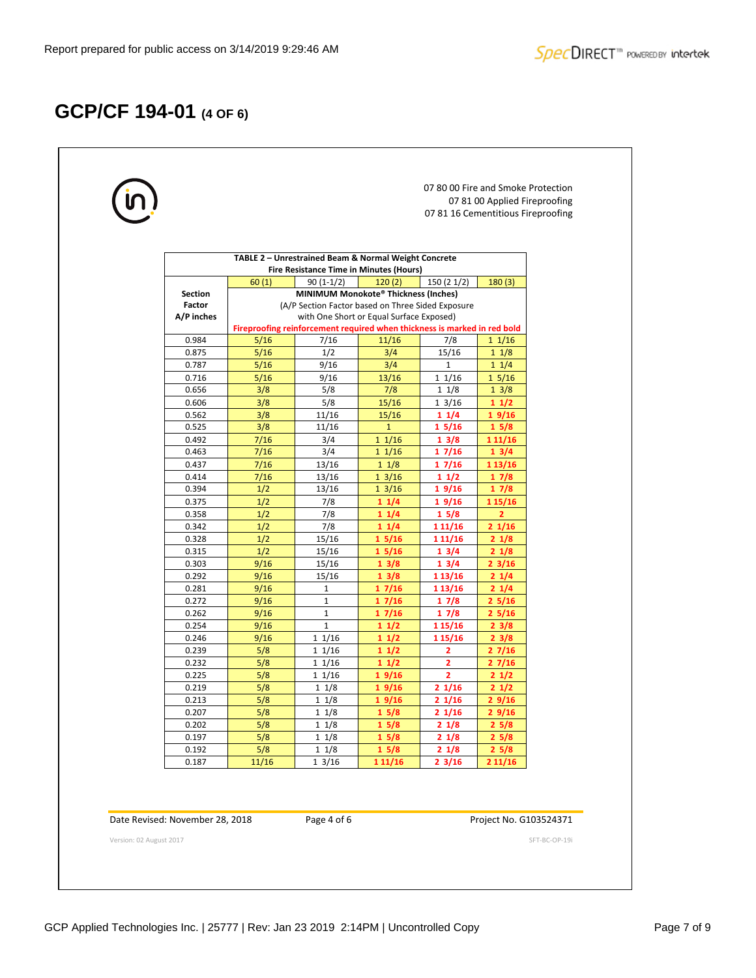# **GCP/CF 194-01 (4 OF 6)**

|                         |                                 |                                                                                                        |                                                                          |                          |                         | 07 80 00 Fire and Smoke Protection<br>07 81 00 Applied Fireproofing<br>07 81 16 Cementitious Fireproofing |               |  |  |  |  |
|-------------------------|---------------------------------|--------------------------------------------------------------------------------------------------------|--------------------------------------------------------------------------|--------------------------|-------------------------|-----------------------------------------------------------------------------------------------------------|---------------|--|--|--|--|
|                         |                                 | TABLE 2 - Unrestrained Beam & Normal Weight Concrete<br><b>Fire Resistance Time in Minutes (Hours)</b> |                                                                          |                          |                         |                                                                                                           |               |  |  |  |  |
|                         |                                 |                                                                                                        |                                                                          |                          |                         |                                                                                                           |               |  |  |  |  |
|                         | <b>Section</b>                  | 60(1)                                                                                                  | $90(1-1/2)$<br>MINIMUM Monokote® Thickness (Inches)                      | 120(2)                   | 150(21/2)               | 180(3)                                                                                                    |               |  |  |  |  |
|                         | Factor                          |                                                                                                        | (A/P Section Factor based on Three Sided Exposure                        |                          |                         |                                                                                                           |               |  |  |  |  |
|                         | A/P inches                      |                                                                                                        | with One Short or Equal Surface Exposed)                                 |                          |                         |                                                                                                           |               |  |  |  |  |
|                         |                                 |                                                                                                        | Fireproofing reinforcement required when thickness is marked in red bold |                          |                         |                                                                                                           |               |  |  |  |  |
|                         | 0.984                           | 5/16                                                                                                   | 7/16                                                                     | 11/16                    | 7/8                     | $1 \frac{1}{16}$                                                                                          |               |  |  |  |  |
|                         | 0.875                           | 5/16                                                                                                   | 1/2                                                                      | 3/4                      | 15/16                   | $1 \frac{1}{8}$                                                                                           |               |  |  |  |  |
|                         | 0.787                           | 5/16                                                                                                   | 9/16                                                                     | 3/4                      | $\mathbf{1}$            | $1 \frac{1}{4}$                                                                                           |               |  |  |  |  |
|                         | 0.716                           | $5/16$                                                                                                 | 9/16                                                                     | 13/16                    | $1 \frac{1}{16}$        | 15/16                                                                                                     |               |  |  |  |  |
|                         | 0.656                           | 3/8                                                                                                    | 5/8                                                                      | 7/8                      | $1 \frac{1}{8}$         | 13/8                                                                                                      |               |  |  |  |  |
|                         | 0.606                           | 3/8                                                                                                    | 5/8                                                                      | 15/16                    | $1 \frac{3}{16}$        | 11/2                                                                                                      |               |  |  |  |  |
|                         | 0.562                           | 3/8                                                                                                    | 11/16                                                                    | 15/16                    | 11/4                    | 19/16                                                                                                     |               |  |  |  |  |
|                         | 0.525                           | 3/8                                                                                                    | 11/16                                                                    | $\mathbf{1}$             | 15/16                   | 15/8                                                                                                      |               |  |  |  |  |
|                         | 0.492                           | 7/16                                                                                                   | 3/4                                                                      | $1 \frac{1}{16}$         | 13/8                    | 1 11/16                                                                                                   |               |  |  |  |  |
|                         | 0.463                           | 7/16                                                                                                   | 3/4                                                                      | $1 \frac{1}{16}$         | 17/16                   | 13/4                                                                                                      |               |  |  |  |  |
|                         | 0.437                           | 7/16                                                                                                   | 13/16                                                                    | 11/8                     | 17/16                   | 1 13/16                                                                                                   |               |  |  |  |  |
|                         | 0.414                           | 7/16<br>1/2                                                                                            | 13/16                                                                    | $1 \frac{3}{16}$         | 11/2                    | 17/8                                                                                                      |               |  |  |  |  |
|                         | 0.394<br>0.375                  | 1/2                                                                                                    | 13/16<br>7/8                                                             | $1 \frac{3}{16}$<br>11/4 | 19/16<br>19/16          | 17/8<br>1 15/16                                                                                           |               |  |  |  |  |
|                         | 0.358                           | 1/2                                                                                                    | 7/8                                                                      | 11/4                     | 15/8                    | $\overline{2}$                                                                                            |               |  |  |  |  |
|                         | 0.342                           | 1/2                                                                                                    | 7/8                                                                      | 11/4                     | 1 1 1 / 16              | 21/16                                                                                                     |               |  |  |  |  |
|                         | 0.328                           | 1/2                                                                                                    | 15/16                                                                    | 15/16                    | 1 1 1 / 16              | 21/8                                                                                                      |               |  |  |  |  |
|                         | 0.315                           | 1/2                                                                                                    | 15/16                                                                    | 15/16                    | 13/4                    | 21/8                                                                                                      |               |  |  |  |  |
|                         | 0.303                           | 9/16                                                                                                   | 15/16                                                                    | 13/8                     | 13/4                    | $2 \frac{3}{16}$                                                                                          |               |  |  |  |  |
|                         | 0.292                           | 9/16                                                                                                   | 15/16                                                                    | 13/8                     | 1 13/16                 | 21/4                                                                                                      |               |  |  |  |  |
|                         | 0.281                           | 9/16                                                                                                   | $\mathbf{1}$                                                             | 17/16                    | 1 13/16                 | 21/4                                                                                                      |               |  |  |  |  |
|                         | 0.272                           | 9/16                                                                                                   | $\mathbf{1}$                                                             | 17/16                    | 17/8                    | 25/16                                                                                                     |               |  |  |  |  |
|                         | 0.262                           | 9/16                                                                                                   | $\mathbf{1}$                                                             | 17/16                    | 17/8                    | 25/16                                                                                                     |               |  |  |  |  |
|                         | 0.254                           | 9/16                                                                                                   | $\mathbf{1}$                                                             | 11/2                     | 1 15/16                 | $2 \frac{3}{8}$                                                                                           |               |  |  |  |  |
|                         | 0.246                           | 9/16                                                                                                   | 11/16                                                                    | 11/2                     | 1 15/16                 | $2 \frac{3}{8}$                                                                                           |               |  |  |  |  |
|                         | 0.239                           | 5/8                                                                                                    | 11/16                                                                    | 11/2                     | 2                       | 27/16                                                                                                     |               |  |  |  |  |
|                         | 0.232                           | 5/8                                                                                                    | 11/16                                                                    | 11/2                     | $\overline{\mathbf{2}}$ | 27/16                                                                                                     |               |  |  |  |  |
|                         | 0.225                           | 5/8                                                                                                    | 11/16                                                                    | 19/16                    | $\overline{2}$          | 21/2                                                                                                      |               |  |  |  |  |
|                         | 0.219                           | 5/8<br>5/8                                                                                             | 11/8<br>11/8                                                             | 19/16                    | 21/16                   | 21/2                                                                                                      |               |  |  |  |  |
|                         | 0.213<br>0.207                  | 5/8                                                                                                    | 11/8                                                                     | 19/16<br>15/8            | 21/16<br>21/16          | 29/16<br>29/16                                                                                            |               |  |  |  |  |
|                         | 0.202                           | 5/8                                                                                                    | 11/8                                                                     | 15/8                     | 21/8                    | 25/8                                                                                                      |               |  |  |  |  |
|                         | 0.197                           | 5/8                                                                                                    | 11/8                                                                     | 15/8                     | 21/8                    | 25/8                                                                                                      |               |  |  |  |  |
|                         | 0.192                           | 5/8                                                                                                    | 11/8                                                                     | 15/8                     | 21/8                    | 25/8                                                                                                      |               |  |  |  |  |
|                         | 0.187                           | 11/16                                                                                                  | 13/16                                                                    | 1 1 1 / 16               | $2 \frac{3}{16}$        | 211/16                                                                                                    |               |  |  |  |  |
|                         | Date Revised: November 28, 2018 |                                                                                                        | Page 4 of 6                                                              |                          |                         | Project No. G103524371                                                                                    |               |  |  |  |  |
| Version: 02 August 2017 |                                 |                                                                                                        |                                                                          |                          |                         |                                                                                                           | SFT-BC-OP-19i |  |  |  |  |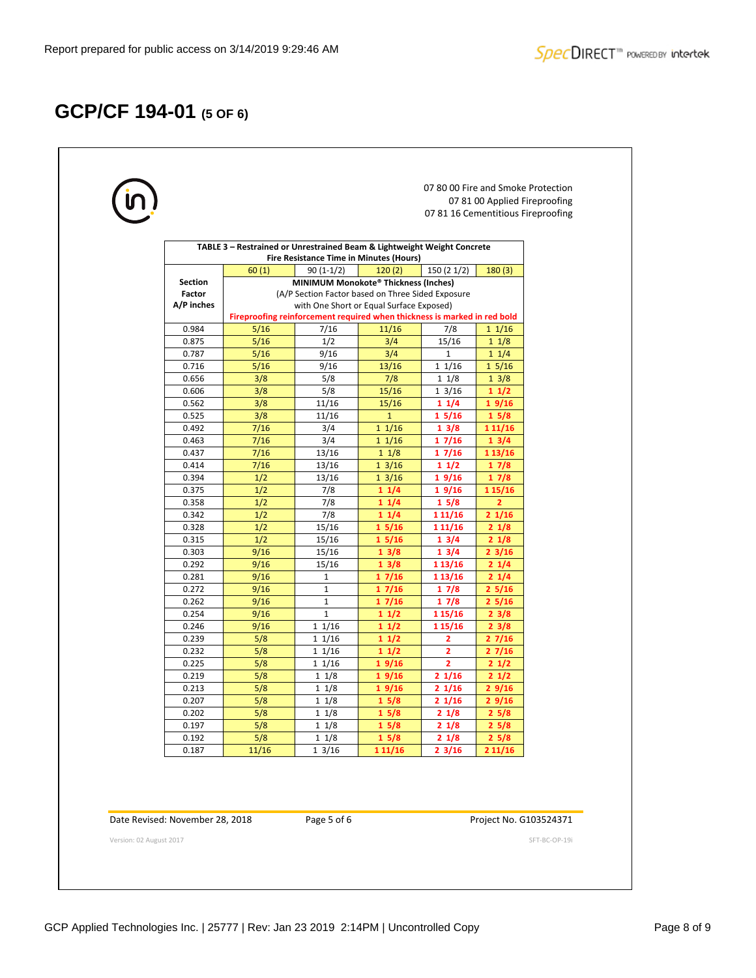# **GCP/CF 194-01 (5 OF 6)**

ŗ

| 60(1)        |                                                                                                              |                                                                                                                                           | TABLE 3 - Restrained or Unrestrained Beam & Lightweight Weight Concrete                                 |                                                                                                                                                                                                                                                                                      |
|--------------|--------------------------------------------------------------------------------------------------------------|-------------------------------------------------------------------------------------------------------------------------------------------|---------------------------------------------------------------------------------------------------------|--------------------------------------------------------------------------------------------------------------------------------------------------------------------------------------------------------------------------------------------------------------------------------------|
|              |                                                                                                              | Fire Resistance Time in Minutes (Hours)                                                                                                   |                                                                                                         |                                                                                                                                                                                                                                                                                      |
|              | $90(1-1/2)$                                                                                                  | 120(2)                                                                                                                                    | 150(21/2)                                                                                               | 180(3)                                                                                                                                                                                                                                                                               |
|              | MINIMUM Monokote® Thickness (Inches)                                                                         |                                                                                                                                           |                                                                                                         |                                                                                                                                                                                                                                                                                      |
|              | (A/P Section Factor based on Three Sided Exposure                                                            |                                                                                                                                           |                                                                                                         |                                                                                                                                                                                                                                                                                      |
|              |                                                                                                              |                                                                                                                                           |                                                                                                         |                                                                                                                                                                                                                                                                                      |
|              |                                                                                                              |                                                                                                                                           |                                                                                                         | $1 \frac{1}{16}$                                                                                                                                                                                                                                                                     |
|              |                                                                                                              |                                                                                                                                           |                                                                                                         | $1 \frac{1}{8}$                                                                                                                                                                                                                                                                      |
|              |                                                                                                              |                                                                                                                                           |                                                                                                         | $1 \frac{1}{4}$                                                                                                                                                                                                                                                                      |
|              |                                                                                                              |                                                                                                                                           |                                                                                                         | 15/16                                                                                                                                                                                                                                                                                |
|              |                                                                                                              |                                                                                                                                           | $1 \frac{1}{8}$                                                                                         | 13/8                                                                                                                                                                                                                                                                                 |
| 3/8          | 5/8                                                                                                          |                                                                                                                                           |                                                                                                         | 11/2                                                                                                                                                                                                                                                                                 |
| 3/8          | 11/16                                                                                                        | 15/16                                                                                                                                     | 11/4                                                                                                    | 19/16                                                                                                                                                                                                                                                                                |
| 3/8          | 11/16                                                                                                        | $\mathbf{1}$                                                                                                                              | 15/16                                                                                                   | 15/8                                                                                                                                                                                                                                                                                 |
| 7/16         | 3/4                                                                                                          | 11/16                                                                                                                                     | 13/8                                                                                                    | 1 1 1 / 16                                                                                                                                                                                                                                                                           |
| 7/16         | 3/4                                                                                                          | $1 \frac{1}{16}$                                                                                                                          | 17/16                                                                                                   | 13/4                                                                                                                                                                                                                                                                                 |
| 7/16         | 13/16                                                                                                        | 11/8                                                                                                                                      | 17/16                                                                                                   | 1 13/16                                                                                                                                                                                                                                                                              |
| 7/16         | 13/16                                                                                                        | 13/16                                                                                                                                     | 11/2                                                                                                    | 17/8                                                                                                                                                                                                                                                                                 |
| 1/2          | 13/16                                                                                                        | $1 \frac{3}{16}$                                                                                                                          | 19/16                                                                                                   | 17/8                                                                                                                                                                                                                                                                                 |
| 1/2          | 7/8                                                                                                          | 11/4                                                                                                                                      | 19/16                                                                                                   | 1 15/16                                                                                                                                                                                                                                                                              |
| 1/2          | 7/8                                                                                                          | 11/4                                                                                                                                      | 15/8                                                                                                    | $\overline{2}$                                                                                                                                                                                                                                                                       |
| 1/2          | 7/8                                                                                                          | 11/4                                                                                                                                      | 1 1 1 / 16                                                                                              | 21/16                                                                                                                                                                                                                                                                                |
| 1/2          | 15/16                                                                                                        | 15/16                                                                                                                                     | 1 1 1 / 16                                                                                              | 21/8                                                                                                                                                                                                                                                                                 |
| 1/2          | 15/16                                                                                                        | 15/16                                                                                                                                     | 13/4                                                                                                    | 21/8                                                                                                                                                                                                                                                                                 |
| 9/16         | 15/16                                                                                                        | 13/8                                                                                                                                      | 13/4                                                                                                    | $2 \frac{3}{16}$                                                                                                                                                                                                                                                                     |
| 9/16         | 15/16                                                                                                        | 13/8                                                                                                                                      | 1 13/16                                                                                                 | $2 \frac{1}{4}$                                                                                                                                                                                                                                                                      |
| 9/16         | $\mathbf{1}$                                                                                                 | 17/16                                                                                                                                     | 1 13/16                                                                                                 | 21/4                                                                                                                                                                                                                                                                                 |
|              |                                                                                                              | 17/16                                                                                                                                     | 17/8                                                                                                    | 25/16                                                                                                                                                                                                                                                                                |
|              |                                                                                                              | 17/16                                                                                                                                     |                                                                                                         | 25/16                                                                                                                                                                                                                                                                                |
| 9/16         | $\mathbf{1}$                                                                                                 | 11/2                                                                                                                                      | 1 15/16                                                                                                 | $2 \frac{3}{8}$                                                                                                                                                                                                                                                                      |
|              |                                                                                                              | 11/2                                                                                                                                      |                                                                                                         | $2 \frac{3}{8}$                                                                                                                                                                                                                                                                      |
|              |                                                                                                              |                                                                                                                                           |                                                                                                         | 27/16                                                                                                                                                                                                                                                                                |
|              |                                                                                                              |                                                                                                                                           |                                                                                                         | 27/16                                                                                                                                                                                                                                                                                |
|              |                                                                                                              |                                                                                                                                           |                                                                                                         | 21/2                                                                                                                                                                                                                                                                                 |
|              |                                                                                                              |                                                                                                                                           |                                                                                                         | 21/2                                                                                                                                                                                                                                                                                 |
|              | $1 \frac{1}{8}$                                                                                              |                                                                                                                                           | 21/16                                                                                                   | 29/16                                                                                                                                                                                                                                                                                |
|              |                                                                                                              |                                                                                                                                           |                                                                                                         | 29/16                                                                                                                                                                                                                                                                                |
|              |                                                                                                              |                                                                                                                                           |                                                                                                         | 25/8                                                                                                                                                                                                                                                                                 |
| 5/8          | $1 \frac{1}{8}$<br>$1 \frac{1}{8}$                                                                           | 15/8                                                                                                                                      | 21/8                                                                                                    | 25/8                                                                                                                                                                                                                                                                                 |
|              |                                                                                                              | 15/8                                                                                                                                      | 21/8                                                                                                    | 25/8                                                                                                                                                                                                                                                                                 |
| 5/8<br>11/16 | 13/16                                                                                                        | 1 11/16                                                                                                                                   | $2 \frac{3}{16}$                                                                                        | 211/16                                                                                                                                                                                                                                                                               |
|              | 5/16<br>5/16<br>5/16<br>5/16<br>3/8<br>9/16<br>9/16<br>9/16<br>5/8<br>5/8<br>5/8<br>5/8<br>5/8<br>5/8<br>5/8 | 7/16<br>1/2<br>9/16<br>9/16<br>5/8<br>$\mathbf{1}$<br>$\mathbf{1}$<br>11/16<br>11/16<br>11/16<br>11/16<br>$1 \frac{1}{8}$<br>11/8<br>11/8 | 11/16<br>3/4<br>3/4<br>13/16<br>7/8<br>15/16<br>11/2<br>11/2<br>19/16<br>19/16<br>19/16<br>15/8<br>15/8 | with One Short or Equal Surface Exposed)<br>Fireproofing reinforcement required when thickness is marked in red bold<br>7/8<br>15/16<br>$\mathbf{1}$<br>11/16<br>$1 \frac{3}{16}$<br>17/8<br>1 15/16<br>$\overline{2}$<br>$\overline{2}$<br>$\overline{2}$<br>21/16<br>21/16<br>21/8 |